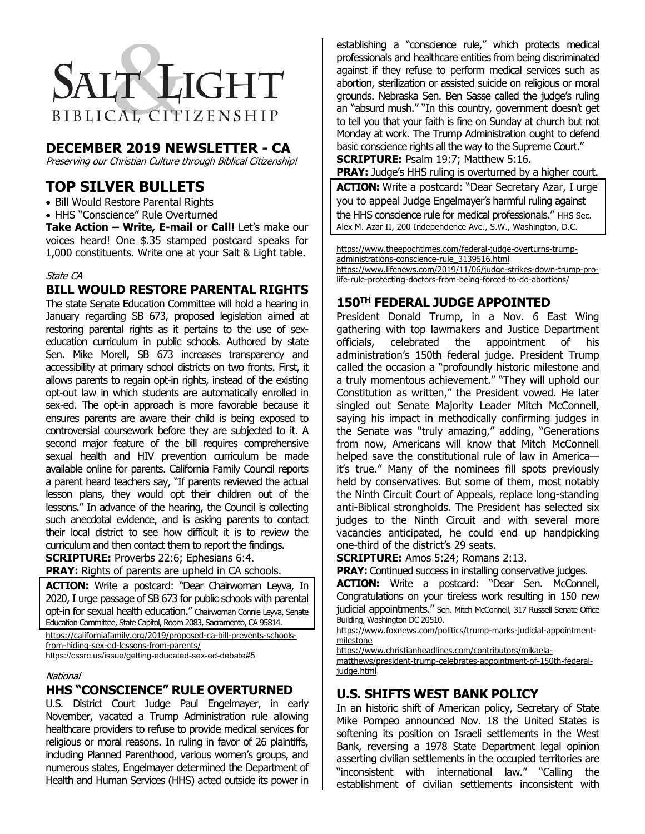

# **DECEMBER 2019 NEWSLETTER - CA**

Preserving our Christian Culture through Biblical Citizenship!

# **TOP SILVER BULLETS**

- Bill Would Restore Parental Rights
- HHS "Conscience" Rule Overturned

**Take Action – Write, E-mail or Call!** Let's make our voices heard! One \$.35 stamped postcard speaks for 1,000 constituents. Write one at your Salt & Light table.

#### State CA

## **BILL WOULD RESTORE PARENTAL RIGHTS**

The state Senate Education Committee will hold a hearing in January regarding SB 673, proposed legislation aimed at restoring parental rights as it pertains to the use of sexeducation curriculum in public schools. Authored by state Sen. Mike Morell, SB 673 increases transparency and accessibility at primary school districts on two fronts. First, it allows parents to regain opt-in rights, instead of the existing opt-out law in which students are automatically enrolled in sex-ed. The opt-in approach is more favorable because it ensures parents are aware their child is being exposed to controversial coursework before they are subjected to it. A second major feature of the bill requires comprehensive sexual health and HIV prevention curriculum be made available online for parents. California Family Council reports a parent heard teachers say, "If parents reviewed the actual lesson plans, they would opt their children out of the lessons." In advance of the hearing, the Council is collecting such anecdotal evidence, and is asking parents to contact their local district to see how difficult it is to review the curriculum and then contact them to report the findings. **SCRIPTURE:** Proverbs 22:6; Ephesians 6:4.

**PRAY:** Rights of parents are upheld in CA schools.

**ACTION:** Write a postcard: "Dear Chairwoman Leyva, In 2020, I urge passage of SB 673 for public schools with parental opt-in for sexual health education." Chairwoman Connie Leyva, Senate Education Committee, State Capitol, Room 2083, Sacramento, CA 95814. https://californiafamily.org/2019/proposed-ca-bill-prevents-schools-

from-hiding-sex-ed-lessons-from-parents/

https://cssrc.us/issue/getting-educated-sex-ed-debate#5

#### **National**

#### **HHS "CONSCIENCE" RULE OVERTURNED**

U.S. District Court Judge Paul Engelmayer, in early November, vacated a Trump Administration rule allowing healthcare providers to refuse to provide medical services for religious or moral reasons. In ruling in favor of 26 plaintiffs, including Planned Parenthood, various women's groups, and numerous states, Engelmayer determined the Department of Health and Human Services (HHS) acted outside its power in

establishing a "conscience rule," which protects medical professionals and healthcare entities from being discriminated against if they refuse to perform medical services such as abortion, sterilization or assisted suicide on religious or moral grounds. Nebraska Sen. Ben Sasse called the judge's ruling an "absurd mush." "In this country, government doesn't get to tell you that your faith is fine on Sunday at church but not Monday at work. The Trump Administration ought to defend basic conscience rights all the way to the Supreme Court."

**SCRIPTURE:** Psalm 19:7; Matthew 5:16. **PRAY:** Judge's HHS ruling is overturned by a higher court.

**ACTION:** Write a postcard: "Dear Secretary Azar, I urge you to appeal Judge Engelmayer's harmful ruling against the HHS conscience rule for medical professionals." HHS Sec. Alex M. Azar II, 200 Independence Ave., S.W., Washington, D.C.

https://www.theepochtimes.com/federal-judge-overturns-trumpadministrations-conscience-rule\_3139516.html https://www.lifenews.com/2019/11/06/judge-strikes-down-trump-prolife-rule-protecting-doctors-from-being-forced-to-do-abortions/

# **150TH FEDERAL JUDGE APPOINTED**

President Donald Trump, in a Nov. 6 East Wing gathering with top lawmakers and Justice Department officials, celebrated the appointment of his administration's 150th federal judge. President Trump called the occasion a "profoundly historic milestone and a truly momentous achievement." "They will uphold our Constitution as written," the President vowed. He later singled out Senate Majority Leader Mitch McConnell, saying his impact in methodically confirming judges in the Senate was "truly amazing," adding, "Generations from now, Americans will know that Mitch McConnell helped save the constitutional rule of law in America it's true." Many of the nominees fill spots previously held by conservatives. But some of them, most notably the Ninth Circuit Court of Appeals, replace long-standing anti-Biblical strongholds. The President has selected six judges to the Ninth Circuit and with several more vacancies anticipated, he could end up handpicking one-third of the district's 29 seats.

**SCRIPTURE:** Amos 5:24; Romans 2:13.

**PRAY:** Continued success in installing conservative judges.

ACTION: Write a postcard: "Dear Sen. McConnell, Congratulations on your tireless work resulting in 150 new judicial appointments." Sen. Mitch McConnell, 317 Russell Senate Office Building, Washington DC 20510.

https://www.foxnews.com/politics/trump-marks-judicial-appointmentmilestone

https://www.christianheadlines.com/contributors/mikaela-

matthews/president-trump-celebrates-appointment-of-150th-federaljudge.html

## **U.S. SHIFTS WEST BANK POLICY**

In an historic shift of American policy, Secretary of State Mike Pompeo announced Nov. 18 the United States is softening its position on Israeli settlements in the West Bank, reversing a 1978 State Department legal opinion asserting civilian settlements in the occupied territories are "inconsistent with international law." "Calling the establishment of civilian settlements inconsistent with